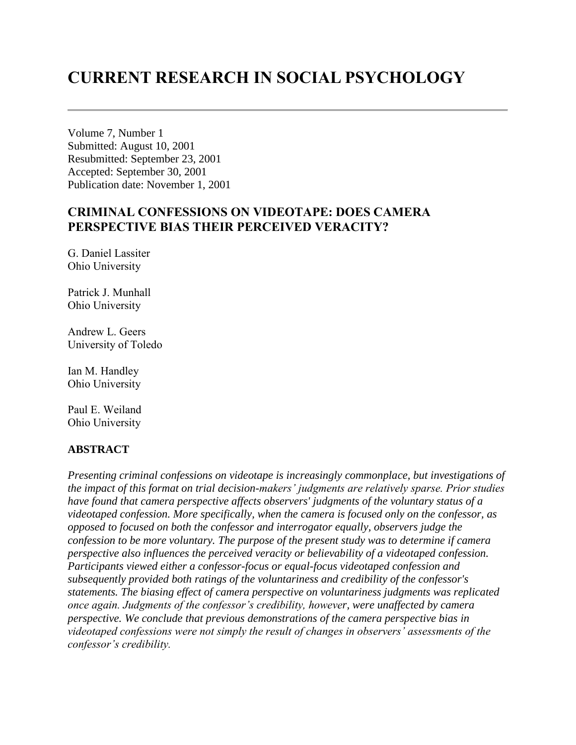# **CURRENT RESEARCH IN SOCIAL PSYCHOLOGY**

Volume 7, Number 1 Submitted: August 10, 2001 Resubmitted: September 23, 2001 Accepted: September 30, 2001 Publication date: November 1, 2001

# **CRIMINAL CONFESSIONS ON VIDEOTAPE: DOES CAMERA PERSPECTIVE BIAS THEIR PERCEIVED VERACITY?**

G. Daniel Lassiter Ohio University

Patrick J. Munhall Ohio University

Andrew L. Geers University of Toledo

Ian M. Handley Ohio University

Paul E. Weiland Ohio University

#### **ABSTRACT**

*Presenting criminal confessions on videotape is increasingly commonplace, but investigations of the impact of this format on trial decision-makers' judgments are relatively sparse. Prior studies have found that camera perspective affects observers' judgments of the voluntary status of a videotaped confession. More specifically, when the camera is focused only on the confessor, as opposed to focused on both the confessor and interrogator equally, observers judge the confession to be more voluntary. The purpose of the present study was to determine if camera perspective also influences the perceived veracity or believability of a videotaped confession. Participants viewed either a confessor-focus or equal-focus videotaped confession and subsequently provided both ratings of the voluntariness and credibility of the confessor's statements. The biasing effect of camera perspective on voluntariness judgments was replicated once again. Judgments of the confessor's credibility, however, were unaffected by camera perspective. We conclude that previous demonstrations of the camera perspective bias in videotaped confessions were not simply the result of changes in observers' assessments of the confessor's credibility.*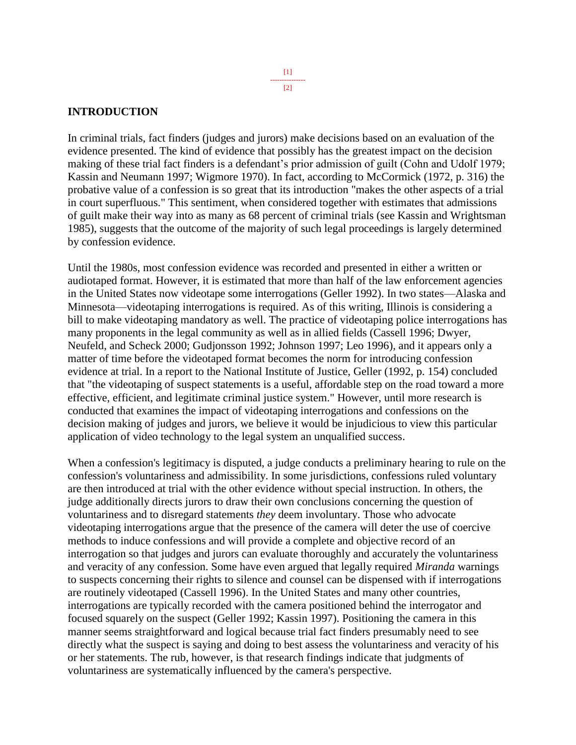#### **INTRODUCTION**

In criminal trials, fact finders (judges and jurors) make decisions based on an evaluation of the evidence presented. The kind of evidence that possibly has the greatest impact on the decision making of these trial fact finders is a defendant's prior admission of guilt (Cohn and Udolf 1979; Kassin and Neumann 1997; Wigmore 1970). In fact, according to McCormick (1972, p. 316) the probative value of a confession is so great that its introduction "makes the other aspects of a trial in court superfluous." This sentiment, when considered together with estimates that admissions of guilt make their way into as many as 68 percent of criminal trials (see Kassin and Wrightsman 1985), suggests that the outcome of the majority of such legal proceedings is largely determined by confession evidence.

Until the 1980s, most confession evidence was recorded and presented in either a written or audiotaped format. However, it is estimated that more than half of the law enforcement agencies in the United States now videotape some interrogations (Geller 1992). In two states—Alaska and Minnesota—videotaping interrogations is required. As of this writing, Illinois is considering a bill to make videotaping mandatory as well. The practice of videotaping police interrogations has many proponents in the legal community as well as in allied fields (Cassell 1996; Dwyer, Neufeld, and Scheck 2000; Gudjonsson 1992; Johnson 1997; Leo 1996), and it appears only a matter of time before the videotaped format becomes the norm for introducing confession evidence at trial. In a report to the National Institute of Justice, Geller (1992, p. 154) concluded that "the videotaping of suspect statements is a useful, affordable step on the road toward a more effective, efficient, and legitimate criminal justice system." However, until more research is conducted that examines the impact of videotaping interrogations and confessions on the decision making of judges and jurors, we believe it would be injudicious to view this particular application of video technology to the legal system an unqualified success.

When a confession's legitimacy is disputed, a judge conducts a preliminary hearing to rule on the confession's voluntariness and admissibility. In some jurisdictions, confessions ruled voluntary are then introduced at trial with the other evidence without special instruction. In others, the judge additionally directs jurors to draw their own conclusions concerning the question of voluntariness and to disregard statements *they* deem involuntary. Those who advocate videotaping interrogations argue that the presence of the camera will deter the use of coercive methods to induce confessions and will provide a complete and objective record of an interrogation so that judges and jurors can evaluate thoroughly and accurately the voluntariness and veracity of any confession. Some have even argued that legally required *Miranda* warnings to suspects concerning their rights to silence and counsel can be dispensed with if interrogations are routinely videotaped (Cassell 1996). In the United States and many other countries, interrogations are typically recorded with the camera positioned behind the interrogator and focused squarely on the suspect (Geller 1992; Kassin 1997). Positioning the camera in this manner seems straightforward and logical because trial fact finders presumably need to see directly what the suspect is saying and doing to best assess the voluntariness and veracity of his or her statements. The rub, however, is that research findings indicate that judgments of voluntariness are systematically influenced by the camera's perspective.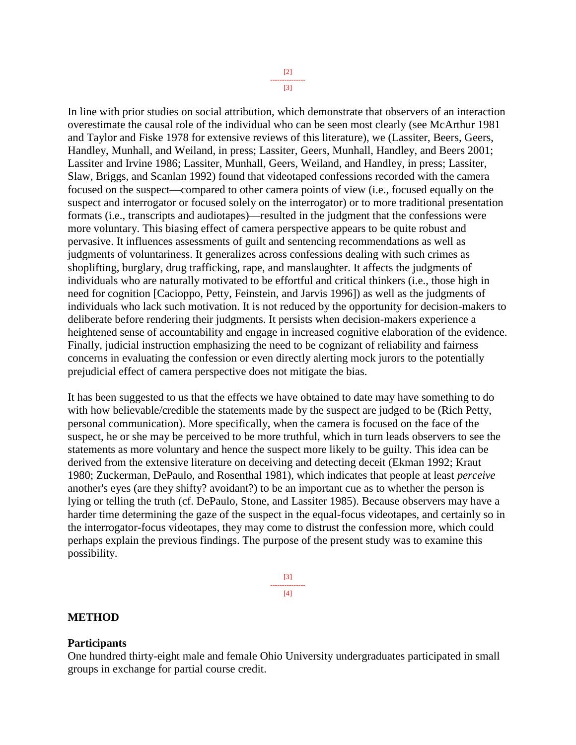[3]

In line with prior studies on social attribution, which demonstrate that observers of an interaction overestimate the causal role of the individual who can be seen most clearly (see McArthur 1981 and Taylor and Fiske 1978 for extensive reviews of this literature), we (Lassiter, Beers, Geers, Handley, Munhall, and Weiland, in press; Lassiter, Geers, Munhall, Handley, and Beers 2001; Lassiter and Irvine 1986; Lassiter, Munhall, Geers, Weiland, and Handley, in press; Lassiter, Slaw, Briggs, and Scanlan 1992) found that videotaped confessions recorded with the camera focused on the suspect—compared to other camera points of view (i.e., focused equally on the suspect and interrogator or focused solely on the interrogator) or to more traditional presentation formats (i.e., transcripts and audiotapes)—resulted in the judgment that the confessions were more voluntary. This biasing effect of camera perspective appears to be quite robust and pervasive. It influences assessments of guilt and sentencing recommendations as well as judgments of voluntariness. It generalizes across confessions dealing with such crimes as shoplifting, burglary, drug trafficking, rape, and manslaughter. It affects the judgments of individuals who are naturally motivated to be effortful and critical thinkers (i.e., those high in need for cognition [Cacioppo, Petty, Feinstein, and Jarvis 1996]) as well as the judgments of individuals who lack such motivation. It is not reduced by the opportunity for decision-makers to deliberate before rendering their judgments. It persists when decision-makers experience a heightened sense of accountability and engage in increased cognitive elaboration of the evidence. Finally, judicial instruction emphasizing the need to be cognizant of reliability and fairness concerns in evaluating the confession or even directly alerting mock jurors to the potentially prejudicial effect of camera perspective does not mitigate the bias.

It has been suggested to us that the effects we have obtained to date may have something to do with how believable/credible the statements made by the suspect are judged to be (Rich Petty, personal communication). More specifically, when the camera is focused on the face of the suspect, he or she may be perceived to be more truthful, which in turn leads observers to see the statements as more voluntary and hence the suspect more likely to be guilty. This idea can be derived from the extensive literature on deceiving and detecting deceit (Ekman 1992; Kraut 1980; Zuckerman, DePaulo, and Rosenthal 1981), which indicates that people at least *perceive* another's eyes (are they shifty? avoidant?) to be an important cue as to whether the person is lying or telling the truth (cf. DePaulo, Stone, and Lassiter 1985). Because observers may have a harder time determining the gaze of the suspect in the equal-focus videotapes, and certainly so in the interrogator-focus videotapes, they may come to distrust the confession more, which could perhaps explain the previous findings. The purpose of the present study was to examine this possibility.



#### **METHOD**

#### **Participants**

One hundred thirty-eight male and female Ohio University undergraduates participated in small groups in exchange for partial course credit.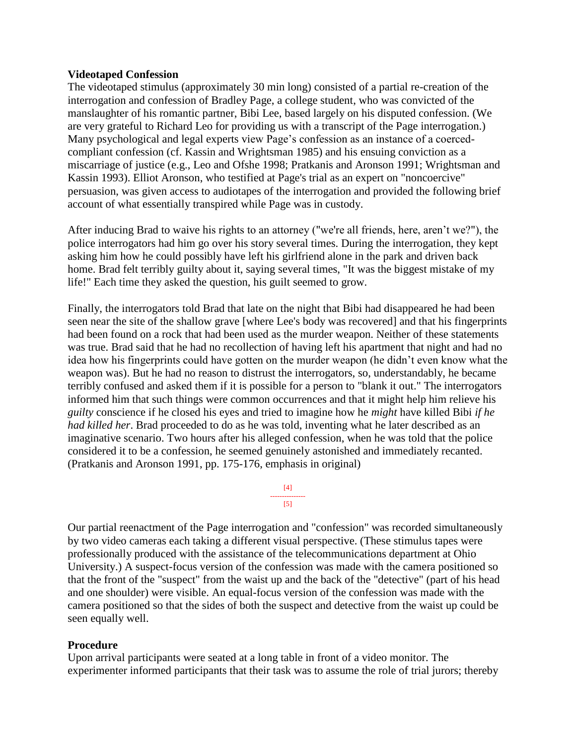#### **Videotaped Confession**

The videotaped stimulus (approximately 30 min long) consisted of a partial re-creation of the interrogation and confession of Bradley Page, a college student, who was convicted of the manslaughter of his romantic partner, Bibi Lee, based largely on his disputed confession. (We are very grateful to Richard Leo for providing us with a transcript of the Page interrogation.) Many psychological and legal experts view Page's confession as an instance of a coercedcompliant confession (cf. Kassin and Wrightsman 1985) and his ensuing conviction as a miscarriage of justice (e.g., Leo and Ofshe 1998; Pratkanis and Aronson 1991; Wrightsman and Kassin 1993). Elliot Aronson, who testified at Page's trial as an expert on "noncoercive" persuasion, was given access to audiotapes of the interrogation and provided the following brief account of what essentially transpired while Page was in custody.

After inducing Brad to waive his rights to an attorney ("we're all friends, here, aren't we?"), the police interrogators had him go over his story several times. During the interrogation, they kept asking him how he could possibly have left his girlfriend alone in the park and driven back home. Brad felt terribly guilty about it, saying several times, "It was the biggest mistake of my life!" Each time they asked the question, his guilt seemed to grow.

Finally, the interrogators told Brad that late on the night that Bibi had disappeared he had been seen near the site of the shallow grave [where Lee's body was recovered] and that his fingerprints had been found on a rock that had been used as the murder weapon. Neither of these statements was true. Brad said that he had no recollection of having left his apartment that night and had no idea how his fingerprints could have gotten on the murder weapon (he didn't even know what the weapon was). But he had no reason to distrust the interrogators, so, understandably, he became terribly confused and asked them if it is possible for a person to "blank it out." The interrogators informed him that such things were common occurrences and that it might help him relieve his *guilty* conscience if he closed his eyes and tried to imagine how he *might* have killed Bibi *if he had killed her*. Brad proceeded to do as he was told, inventing what he later described as an imaginative scenario. Two hours after his alleged confession, when he was told that the police considered it to be a confession, he seemed genuinely astonished and immediately recanted. (Pratkanis and Aronson 1991, pp. 175-176, emphasis in original)

> [4] --------------- [5]

Our partial reenactment of the Page interrogation and "confession" was recorded simultaneously by two video cameras each taking a different visual perspective. (These stimulus tapes were professionally produced with the assistance of the telecommunications department at Ohio University.) A suspect-focus version of the confession was made with the camera positioned so that the front of the "suspect" from the waist up and the back of the "detective" (part of his head and one shoulder) were visible. An equal-focus version of the confession was made with the camera positioned so that the sides of both the suspect and detective from the waist up could be seen equally well.

#### **Procedure**

Upon arrival participants were seated at a long table in front of a video monitor. The experimenter informed participants that their task was to assume the role of trial jurors; thereby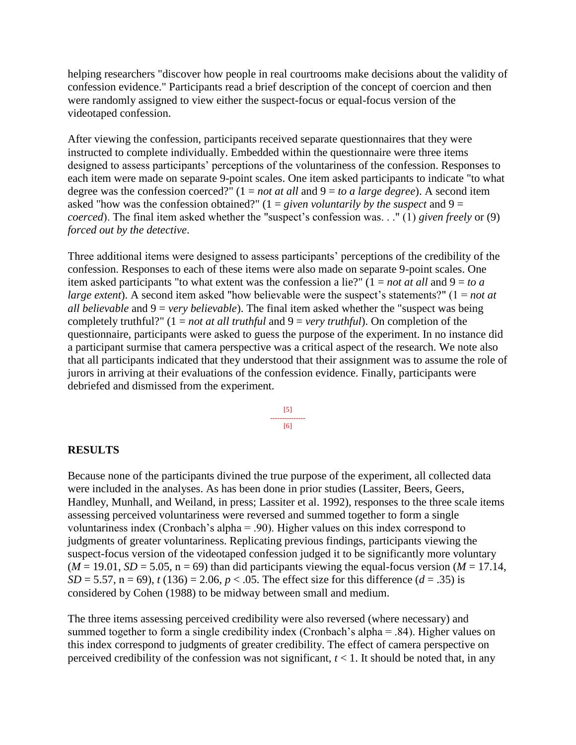helping researchers "discover how people in real courtrooms make decisions about the validity of confession evidence." Participants read a brief description of the concept of coercion and then were randomly assigned to view either the suspect-focus or equal-focus version of the videotaped confession.

After viewing the confession, participants received separate questionnaires that they were instructed to complete individually. Embedded within the questionnaire were three items designed to assess participants' perceptions of the voluntariness of the confession. Responses to each item were made on separate 9-point scales. One item asked participants to indicate "to what degree was the confession coerced?" (1 = *not at all* and 9 = *to a large degree*). A second item asked "how was the confession obtained?" (1 = *given voluntarily by the suspect* and 9 = *coerced*). The final item asked whether the "suspect's confession was. . ." (1) *given freely* or (9) *forced out by the detective*.

Three additional items were designed to assess participants' perceptions of the credibility of the confession. Responses to each of these items were also made on separate 9-point scales. One item asked participants "to what extent was the confession a lie?" (1 = *not at all* and 9 = *to a large extent*). A second item asked "how believable were the suspect's statements?" (1 = *not at all believable* and 9 = *very believable*). The final item asked whether the "suspect was being completely truthful?" (1 = *not at all truthful* and 9 = *very truthful*). On completion of the questionnaire, participants were asked to guess the purpose of the experiment. In no instance did a participant surmise that camera perspective was a critical aspect of the research. We note also that all participants indicated that they understood that their assignment was to assume the role of jurors in arriving at their evaluations of the confession evidence. Finally, participants were debriefed and dismissed from the experiment.

> [5] --------------- [6]

#### **RESULTS**

Because none of the participants divined the true purpose of the experiment, all collected data were included in the analyses. As has been done in prior studies (Lassiter, Beers, Geers, Handley, Munhall, and Weiland, in press; Lassiter et al. 1992), responses to the three scale items assessing perceived voluntariness were reversed and summed together to form a single voluntariness index (Cronbach's alpha = .90). Higher values on this index correspond to judgments of greater voluntariness. Replicating previous findings, participants viewing the suspect-focus version of the videotaped confession judged it to be significantly more voluntary  $(M = 19.01, SD = 5.05, n = 69)$  than did participants viewing the equal-focus version  $(M = 17.14,$ *SD* = 5.57, n = 69), *t* (136) = 2.06, *p* < .05. The effect size for this difference (*d* = .35) is considered by Cohen (1988) to be midway between small and medium.

The three items assessing perceived credibility were also reversed (where necessary) and summed together to form a single credibility index (Cronbach's alpha = .84). Higher values on this index correspond to judgments of greater credibility. The effect of camera perspective on perceived credibility of the confession was not significant,  $t < 1$ . It should be noted that, in any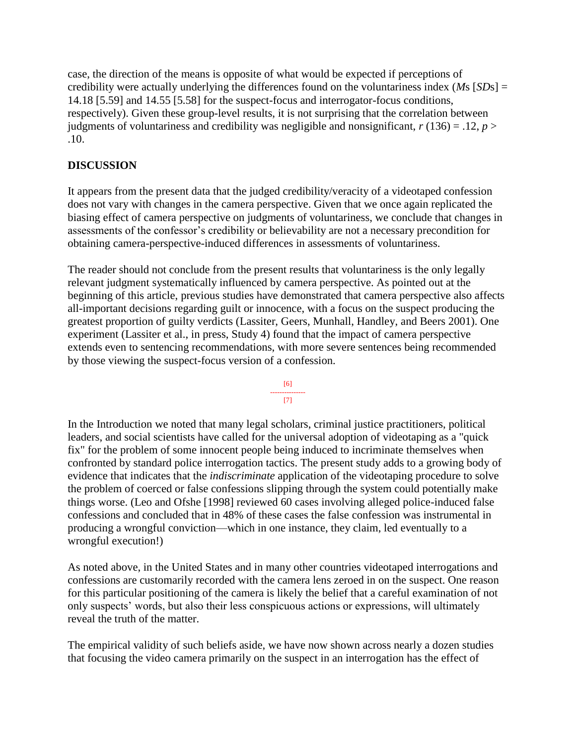case, the direction of the means is opposite of what would be expected if perceptions of credibility were actually underlying the differences found on the voluntariness index (*M*s [*SD*s] = 14.18 [5.59] and 14.55 [5.58] for the suspect-focus and interrogator-focus conditions, respectively). Given these group-level results, it is not surprising that the correlation between judgments of voluntariness and credibility was negligible and nonsignificant,  $r(136) = .12$ ,  $p >$ .10.

## **DISCUSSION**

It appears from the present data that the judged credibility/veracity of a videotaped confession does not vary with changes in the camera perspective. Given that we once again replicated the biasing effect of camera perspective on judgments of voluntariness, we conclude that changes in assessments of the confessor's credibility or believability are not a necessary precondition for obtaining camera-perspective-induced differences in assessments of voluntariness.

The reader should not conclude from the present results that voluntariness is the only legally relevant judgment systematically influenced by camera perspective. As pointed out at the beginning of this article, previous studies have demonstrated that camera perspective also affects all-important decisions regarding guilt or innocence, with a focus on the suspect producing the greatest proportion of guilty verdicts (Lassiter, Geers, Munhall, Handley, and Beers 2001). One experiment (Lassiter et al., in press, Study 4) found that the impact of camera perspective extends even to sentencing recommendations, with more severe sentences being recommended by those viewing the suspect-focus version of a confession.



In the Introduction we noted that many legal scholars, criminal justice practitioners, political leaders, and social scientists have called for the universal adoption of videotaping as a "quick fix" for the problem of some innocent people being induced to incriminate themselves when confronted by standard police interrogation tactics. The present study adds to a growing body of evidence that indicates that the *indiscriminate* application of the videotaping procedure to solve the problem of coerced or false confessions slipping through the system could potentially make things worse. (Leo and Ofshe [1998] reviewed 60 cases involving alleged police-induced false confessions and concluded that in 48% of these cases the false confession was instrumental in producing a wrongful conviction—which in one instance, they claim, led eventually to a wrongful execution!)

As noted above, in the United States and in many other countries videotaped interrogations and confessions are customarily recorded with the camera lens zeroed in on the suspect. One reason for this particular positioning of the camera is likely the belief that a careful examination of not only suspects' words, but also their less conspicuous actions or expressions, will ultimately reveal the truth of the matter.

The empirical validity of such beliefs aside, we have now shown across nearly a dozen studies that focusing the video camera primarily on the suspect in an interrogation has the effect of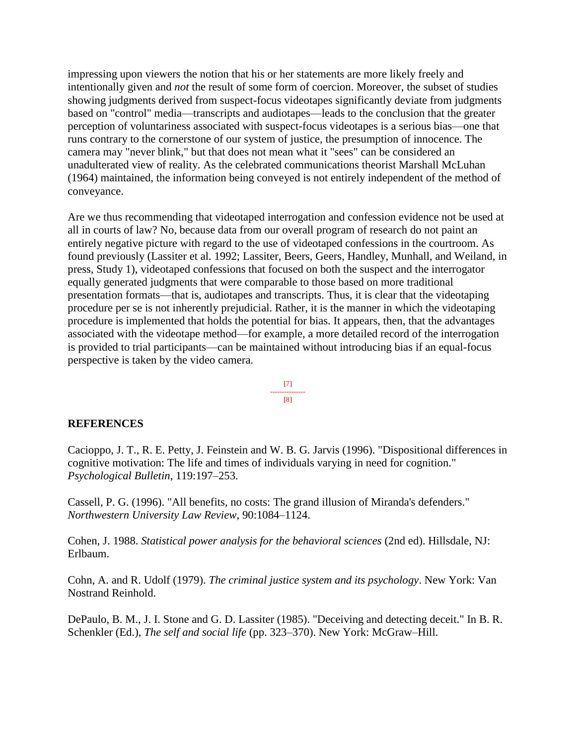impressing upon viewers the notion that his or her statements are more likely freely and intentionally given and *not* the result of some form of coercion. Moreover, the subset of studies showing judgments derived from suspect-focus videotapes significantly deviate from judgments based on "control" media—transcripts and audiotapes—leads to the conclusion that the greater perception of voluntariness associated with suspect-focus videotapes is a serious bias—one that runs contrary to the cornerstone of our system of justice, the presumption of innocence. The camera may "never blink," but that does not mean what it "sees" can be considered an unadulterated view of reality. As the celebrated communications theorist Marshall McLuhan (1964) maintained, the information being conveyed is not entirely independent of the method of conveyance.

Are we thus recommending that videotaped interrogation and confession evidence not be used at all in courts of law? No, because data from our overall program of research do not paint an entirely negative picture with regard to the use of videotaped confessions in the courtroom. As found previously (Lassiter et al. 1992; Lassiter, Beers, Geers, Handley, Munhall, and Weiland, in press, Study 1), videotaped confessions that focused on both the suspect and the interrogator equally generated judgments that were comparable to those based on more traditional presentation formats—that is, audiotapes and transcripts. Thus, it is clear that the videotaping procedure per se is not inherently prejudicial. Rather, it is the manner in which the videotaping procedure is implemented that holds the potential for bias. It appears, then, that the advantages associated with the videotape method—for example, a more detailed record of the interrogation is provided to trial participants—can be maintained without introducing bias if an equal-focus perspective is taken by the video camera.



#### **REFERENCES**

Cacioppo, J. T., R. E. Petty, J. Feinstein and W. B. G. Jarvis (1996). "Dispositional differences in cognitive motivation: The life and times of individuals varying in need for cognition." *Psychological Bulletin*, 119:197–253.

Cassell, P. G. (1996). "All benefits, no costs: The grand illusion of Miranda's defenders." *Northwestern University Law Review*, 90:1084–1124.

Cohen, J. 1988. *Statistical power analysis for the behavioral sciences* (2nd ed). Hillsdale, NJ: Erlbaum.

Cohn, A. and R. Udolf (1979). *The criminal justice system and its psychology*. New York: Van Nostrand Reinhold.

DePaulo, B. M., J. I. Stone and G. D. Lassiter (1985). "Deceiving and detecting deceit." In B. R. Schenkler (Ed.), *The self and social life* (pp. 323–370). New York: McGraw–Hill.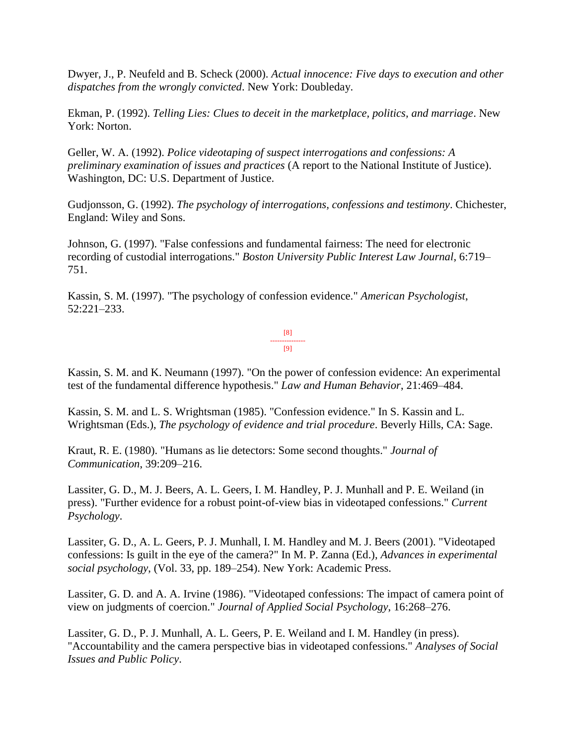Dwyer, J., P. Neufeld and B. Scheck (2000). *Actual innocence: Five days to execution and other dispatches from the wrongly convicted*. New York: Doubleday.

Ekman, P. (1992). *Telling Lies: Clues to deceit in the marketplace, politics, and marriage*. New York: Norton.

Geller, W. A. (1992). *Police videotaping of suspect interrogations and confessions: A preliminary examination of issues and practices* (A report to the National Institute of Justice). Washington, DC: U.S. Department of Justice.

Gudjonsson, G. (1992). *The psychology of interrogations, confessions and testimony*. Chichester, England: Wiley and Sons.

Johnson, G. (1997). "False confessions and fundamental fairness: The need for electronic recording of custodial interrogations." *Boston University Public Interest Law Journal*, 6:719– 751.

Kassin, S. M. (1997). "The psychology of confession evidence." *American Psychologist*, 52:221–233.

> [8] --------------- [9]

Kassin, S. M. and K. Neumann (1997). "On the power of confession evidence: An experimental test of the fundamental difference hypothesis." *Law and Human Behavior*, 21:469–484.

Kassin, S. M. and L. S. Wrightsman (1985). "Confession evidence." In S. Kassin and L. Wrightsman (Eds.), *The psychology of evidence and trial procedure*. Beverly Hills, CA: Sage.

Kraut, R. E. (1980). "Humans as lie detectors: Some second thoughts." *Journal of Communication*, 39:209–216.

Lassiter, G. D., M. J. Beers, A. L. Geers, I. M. Handley, P. J. Munhall and P. E. Weiland (in press). "Further evidence for a robust point-of-view bias in videotaped confessions." *Current Psychology*.

Lassiter, G. D., A. L. Geers, P. J. Munhall, I. M. Handley and M. J. Beers (2001). "Videotaped confessions: Is guilt in the eye of the camera?" In M. P. Zanna (Ed.), *Advances in experimental social psychology*, (Vol. 33, pp. 189–254). New York: Academic Press.

Lassiter, G. D. and A. A. Irvine (1986). "Videotaped confessions: The impact of camera point of view on judgments of coercion." *Journal of Applied Social Psychology*, 16:268–276.

Lassiter, G. D., P. J. Munhall, A. L. Geers, P. E. Weiland and I. M. Handley (in press). "Accountability and the camera perspective bias in videotaped confessions." *Analyses of Social Issues and Public Policy*.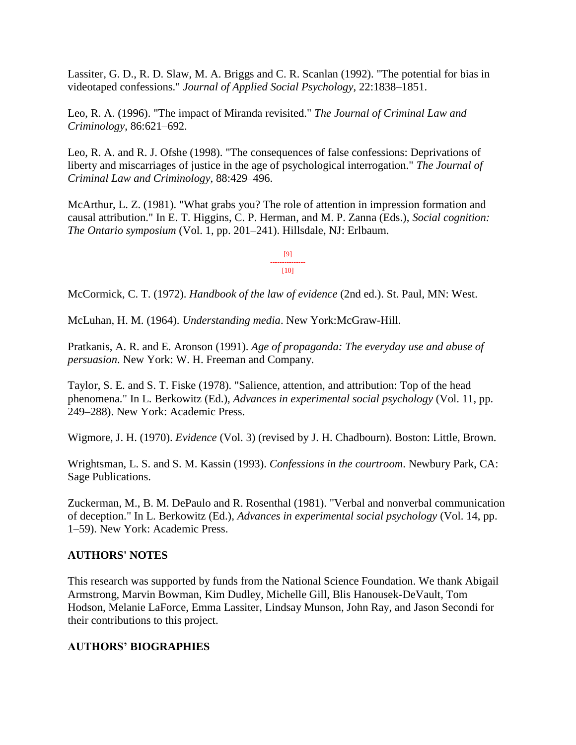Lassiter, G. D., R. D. Slaw, M. A. Briggs and C. R. Scanlan (1992). "The potential for bias in videotaped confessions." *Journal of Applied Social Psychology*, 22:1838–1851.

Leo, R. A. (1996). "The impact of Miranda revisited." *The Journal of Criminal Law and Criminology*, 86:621–692.

Leo, R. A. and R. J. Ofshe (1998). "The consequences of false confessions: Deprivations of liberty and miscarriages of justice in the age of psychological interrogation." *The Journal of Criminal Law and Criminology*, 88:429–496.

McArthur, L. Z. (1981). "What grabs you? The role of attention in impression formation and causal attribution." In E. T. Higgins, C. P. Herman, and M. P. Zanna (Eds.), *Social cognition: The Ontario symposium* (Vol. 1, pp. 201–241). Hillsdale, NJ: Erlbaum.

> [9] --------------- [10]

McCormick, C. T. (1972). *Handbook of the law of evidence* (2nd ed.). St. Paul, MN: West.

McLuhan, H. M. (1964). *Understanding media*. New York:McGraw-Hill.

Pratkanis, A. R. and E. Aronson (1991). *Age of propaganda: The everyday use and abuse of persuasion*. New York: W. H. Freeman and Company.

Taylor, S. E. and S. T. Fiske (1978). "Salience, attention, and attribution: Top of the head phenomena." In L. Berkowitz (Ed.), *Advances in experimental social psychology* (Vol. 11, pp. 249–288). New York: Academic Press.

Wigmore, J. H. (1970). *Evidence* (Vol. 3) (revised by J. H. Chadbourn). Boston: Little, Brown.

Wrightsman, L. S. and S. M. Kassin (1993). *Confessions in the courtroom*. Newbury Park, CA: Sage Publications.

Zuckerman, M., B. M. DePaulo and R. Rosenthal (1981). "Verbal and nonverbal communication of deception." In L. Berkowitz (Ed.), *Advances in experimental social psychology* (Vol. 14, pp. 1–59). New York: Academic Press.

## **AUTHORS' NOTES**

This research was supported by funds from the National Science Foundation. We thank Abigail Armstrong, Marvin Bowman, Kim Dudley, Michelle Gill, Blis Hanousek-DeVault, Tom Hodson, Melanie LaForce, Emma Lassiter, Lindsay Munson, John Ray, and Jason Secondi for their contributions to this project.

## **AUTHORS' BIOGRAPHIES**